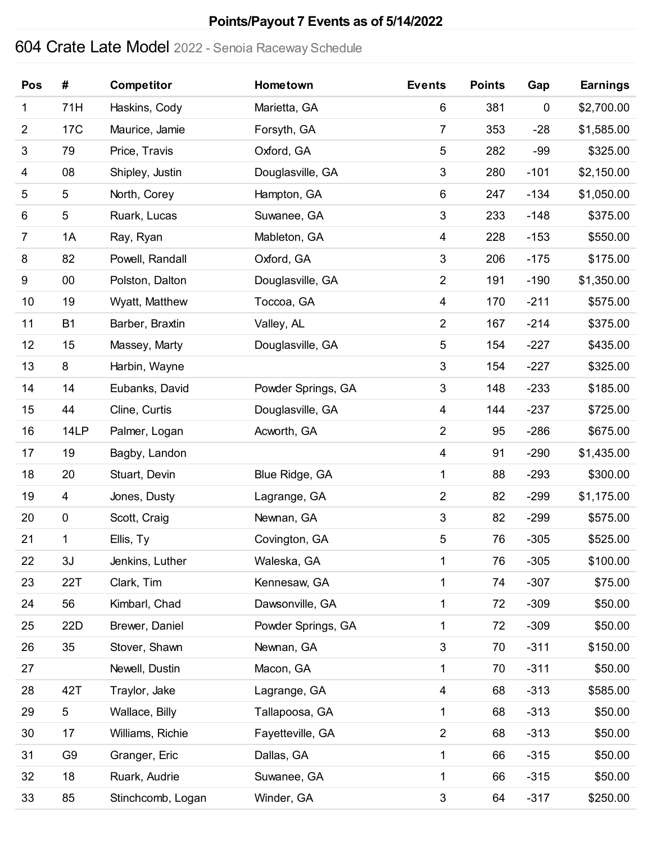### **Points/Payout 7 Events as of 5/14/2022**

# Crate Late Model 2022 - Senoia Raceway Schedule

| Pos            | #               | <b>Competitor</b> | Hometown           | <b>Events</b>             | <b>Points</b> | Gap       | <b>Earnings</b> |
|----------------|-----------------|-------------------|--------------------|---------------------------|---------------|-----------|-----------------|
| 1              | 71H             | Haskins, Cody     | Marietta, GA       | $\,6$                     | 381           | $\pmb{0}$ | \$2,700.00      |
| $\overline{c}$ | 17 <sub>C</sub> | Maurice, Jamie    | Forsyth, GA        | $\overline{7}$            | 353           | $-28$     | \$1,585.00      |
| $\sqrt{3}$     | 79              | Price, Travis     | Oxford, GA         | $\sqrt{5}$                | 282           | $-99$     | \$325.00        |
| 4              | 08              | Shipley, Justin   | Douglasville, GA   | $\ensuremath{\mathsf{3}}$ | 280           | $-101$    | \$2,150.00      |
| 5              | 5               | North, Corey      | Hampton, GA        | $\,6$                     | 247           | $-134$    | \$1,050.00      |
| 6              | 5               | Ruark, Lucas      | Suwanee, GA        | $\mathfrak{B}$            | 233           | $-148$    | \$375.00        |
| $\overline{7}$ | 1A              | Ray, Ryan         | Mableton, GA       | 4                         | 228           | $-153$    | \$550.00        |
| 8              | 82              | Powell, Randall   | Oxford, GA         | $\ensuremath{\mathsf{3}}$ | 206           | $-175$    | \$175.00        |
| 9              | 00              | Polston, Dalton   | Douglasville, GA   | $\overline{2}$            | 191           | $-190$    | \$1,350.00      |
| 10             | 19              | Wyatt, Matthew    | Toccoa, GA         | 4                         | 170           | $-211$    | \$575.00        |
| 11             | <b>B1</b>       | Barber, Braxtin   | Valley, AL         | $\overline{2}$            | 167           | $-214$    | \$375.00        |
| 12             | 15              | Massey, Marty     | Douglasville, GA   | $\sqrt{5}$                | 154           | $-227$    | \$435.00        |
| 13             | 8               | Harbin, Wayne     |                    | $\sqrt{3}$                | 154           | $-227$    | \$325.00        |
| 14             | 14              | Eubanks, David    | Powder Springs, GA | $\sqrt{3}$                | 148           | $-233$    | \$185.00        |
| 15             | 44              | Cline, Curtis     | Douglasville, GA   | 4                         | 144           | $-237$    | \$725.00        |
| 16             | 14LP            | Palmer, Logan     | Acworth, GA        | $\overline{2}$            | 95            | $-286$    | \$675.00        |
| 17             | 19              | Bagby, Landon     |                    | 4                         | 91            | $-290$    | \$1,435.00      |
| 18             | 20              | Stuart, Devin     | Blue Ridge, GA     | 1                         | 88            | $-293$    | \$300.00        |
| 19             | 4               | Jones, Dusty      | Lagrange, GA       | $\overline{2}$            | 82            | $-299$    | \$1,175.00      |
| 20             | $\pmb{0}$       | Scott, Craig      | Newnan, GA         | $\sqrt{3}$                | 82            | $-299$    | \$575.00        |
| 21             | 1               | Ellis, Ty         | Covington, GA      | $\,$ 5 $\,$               | 76            | $-305$    | \$525.00        |
| 22             | 3J              | Jenkins, Luther   | Waleska, GA        | $\mathbf{1}$              | 76            | $-305$    | \$100.00        |
| 23             | 22T             | Clark, Tim        | Kennesaw, GA       | 1                         | 74            | $-307$    | \$75.00         |
| 24             | 56              | Kimbarl, Chad     | Dawsonville, GA    | 1                         | 72            | $-309$    | \$50.00         |
| 25             | 22D             | Brewer, Daniel    | Powder Springs, GA | 1                         | 72            | $-309$    | \$50.00         |
| 26             | 35              | Stover, Shawn     | Newnan, GA         | $\mathfrak{B}$            | 70            | $-311$    | \$150.00        |
| 27             |                 | Newell, Dustin    | Macon, GA          | 1                         | 70            | $-311$    | \$50.00         |
| 28             | 42T             | Traylor, Jake     | Lagrange, GA       | $\overline{4}$            | 68            | $-313$    | \$585.00        |
| 29             | 5               | Wallace, Billy    | Tallapoosa, GA     | 1                         | 68            | $-313$    | \$50.00         |
| 30             | 17              | Williams, Richie  | Fayetteville, GA   | $\overline{2}$            | 68            | $-313$    | \$50.00         |
| 31             | G <sub>9</sub>  | Granger, Eric     | Dallas, GA         | $\mathbf 1$               | 66            | $-315$    | \$50.00         |
| 32             | 18              | Ruark, Audrie     | Suwanee, GA        | 1                         | 66            | $-315$    | \$50.00         |
| 33             | 85              | Stinchcomb, Logan | Winder, GA         | $\sqrt{3}$                | 64            | $-317$    | \$250.00        |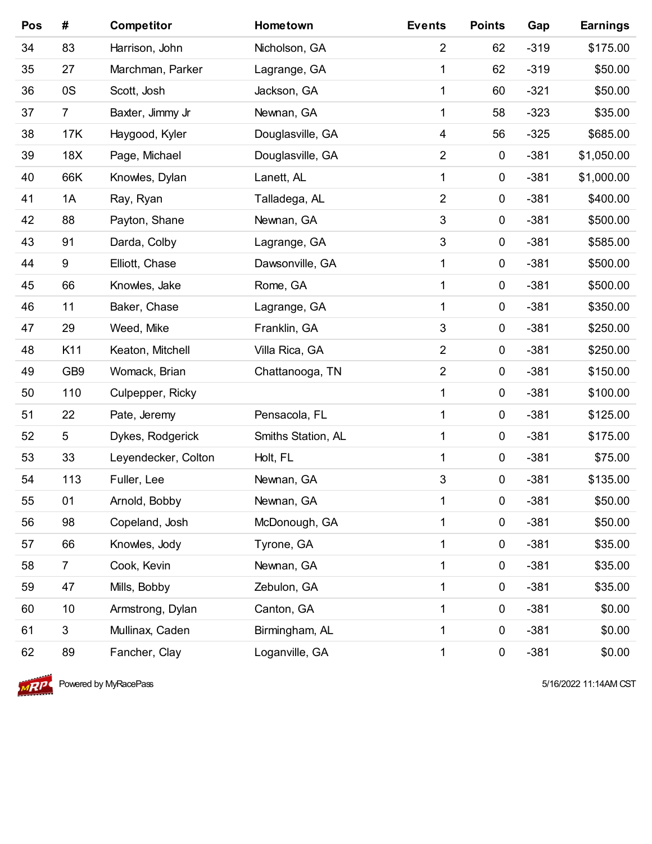| Pos | #               | <b>Competitor</b>   | Hometown           | <b>Events</b>  | <b>Points</b> | Gap    | <b>Earnings</b> |
|-----|-----------------|---------------------|--------------------|----------------|---------------|--------|-----------------|
| 34  | 83              | Harrison, John      | Nicholson, GA      | $\overline{2}$ | 62            | $-319$ | \$175.00        |
| 35  | 27              | Marchman, Parker    | Lagrange, GA       | 1              | 62            | $-319$ | \$50.00         |
| 36  | 0S              | Scott, Josh         | Jackson, GA        | 1              | 60            | $-321$ | \$50.00         |
| 37  | $\overline{7}$  | Baxter, Jimmy Jr    | Newnan, GA         | 1              | 58            | $-323$ | \$35.00         |
| 38  | 17K             | Haygood, Kyler      | Douglasville, GA   | $\overline{4}$ | 56            | $-325$ | \$685.00        |
| 39  | 18X             | Page, Michael       | Douglasville, GA   | $\overline{2}$ | 0             | $-381$ | \$1,050.00      |
| 40  | 66K             | Knowles, Dylan      | Lanett, AL         | 1              | $\pmb{0}$     | $-381$ | \$1,000.00      |
| 41  | 1A              | Ray, Ryan           | Talladega, AL      | $\overline{2}$ | $\pmb{0}$     | $-381$ | \$400.00        |
| 42  | 88              | Payton, Shane       | Newnan, GA         | 3              | 0             | $-381$ | \$500.00        |
| 43  | 91              | Darda, Colby        | Lagrange, GA       | 3              | 0             | $-381$ | \$585.00        |
| 44  | 9               | Elliott, Chase      | Dawsonville, GA    | 1              | $\pmb{0}$     | $-381$ | \$500.00        |
| 45  | 66              | Knowles, Jake       | Rome, GA           | 1              | $\pmb{0}$     | $-381$ | \$500.00        |
| 46  | 11              | Baker, Chase        | Lagrange, GA       | 1              | $\pmb{0}$     | $-381$ | \$350.00        |
| 47  | 29              | Weed, Mike          | Franklin, GA       | 3              | $\pmb{0}$     | $-381$ | \$250.00        |
| 48  | K11             | Keaton, Mitchell    | Villa Rica, GA     | $\overline{2}$ | $\pmb{0}$     | $-381$ | \$250.00        |
| 49  | GB <sub>9</sub> | Womack, Brian       | Chattanooga, TN    | $\overline{2}$ | $\pmb{0}$     | $-381$ | \$150.00        |
| 50  | 110             | Culpepper, Ricky    |                    | 1              | 0             | $-381$ | \$100.00        |
| 51  | 22              | Pate, Jeremy        | Pensacola, FL      | 1              | $\pmb{0}$     | $-381$ | \$125.00        |
| 52  | 5               | Dykes, Rodgerick    | Smiths Station, AL | 1              | $\pmb{0}$     | $-381$ | \$175.00        |
| 53  | 33              | Leyendecker, Colton | Holt, FL           | 1              | $\pmb{0}$     | $-381$ | \$75.00         |
| 54  | 113             | Fuller, Lee         | Newnan, GA         | 3              | $\pmb{0}$     | $-381$ | \$135.00        |
| 55  | 01              | Arnold, Bobby       | Newnan, GA         | 1              | $\pmb{0}$     | $-381$ | \$50.00         |
| 56  | 98              | Copeland, Josh      | McDonough, GA      | 1              | $\pmb{0}$     | $-381$ | \$50.00         |
| 57  | 66              | Knowles, Jody       | Tyrone, GA         | 1              | 0             | $-381$ | \$35.00         |
| 58  | $\overline{7}$  | Cook, Kevin         | Newnan, GA         | 1              | 0             | $-381$ | \$35.00         |
| 59  | 47              | Mills, Bobby        | Zebulon, GA        | 1              | $\pmb{0}$     | $-381$ | \$35.00         |
| 60  | 10              | Armstrong, Dylan    | Canton, GA         | 1              | 0             | $-381$ | \$0.00          |
| 61  | $\mathfrak{S}$  | Mullinax, Caden     | Birmingham, AL     | 1              | 0             | $-381$ | \$0.00          |
| 62  | 89              | Fancher, Clay       | Loganville, GA     | 1              | 0             | $-381$ | \$0.00          |



**Powered by MyRacePass 618 and 2009 120 and 2009 12:00 12:00 12:00 12:00 12:00 12:00 12:00 12:00 12:00 12:00 12:00 12:00 12:00 12:00 12:00 12:00 12:00 12:00 12:00 12:00 12:00 12:00 12:00 12:00 12:00 12:00 12:00 12:00 12:00**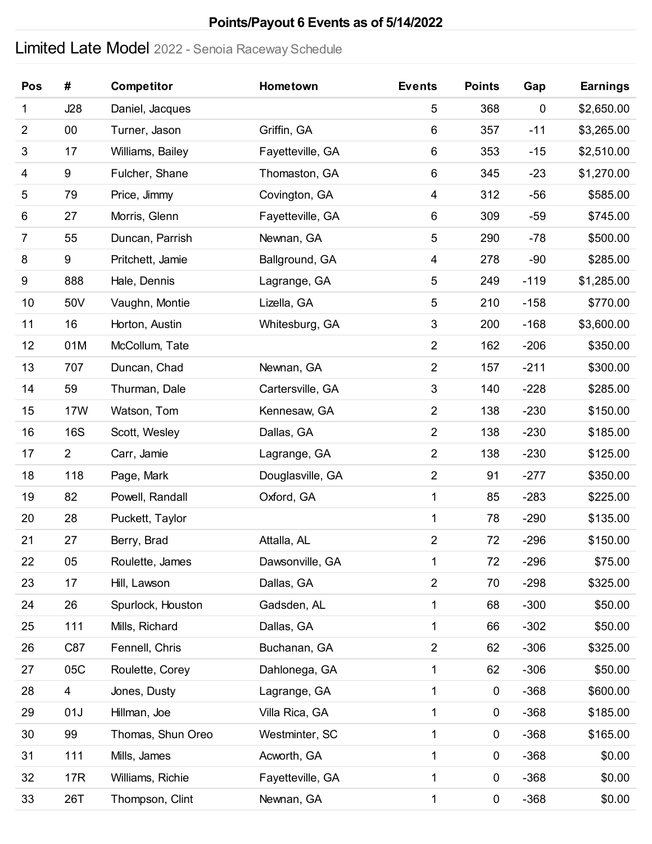### **Points/Payout 6 Events as of 5/14/2022**

# Limited Late Model 2022 - Senoia Raceway Schedule

| Pos            | #              | <b>Competitor</b> | Hometown         | <b>Events</b>             | <b>Points</b> | Gap       | <b>Earnings</b> |
|----------------|----------------|-------------------|------------------|---------------------------|---------------|-----------|-----------------|
| 1              | J28            | Daniel, Jacques   |                  | $\overline{5}$            | 368           | $\pmb{0}$ | \$2,650.00      |
| 2              | 00             | Turner, Jason     | Griffin, GA      | 6                         | 357           | $-11$     | \$3,265.00      |
| 3              | 17             | Williams, Bailey  | Fayetteville, GA | 6                         | 353           | $-15$     | \$2,510.00      |
| 4              | 9              | Fulcher, Shane    | Thomaston, GA    | 6                         | 345           | $-23$     | \$1,270.00      |
| 5              | 79             | Price, Jimmy      | Covington, GA    | 4                         | 312           | $-56$     | \$585.00        |
| 6              | 27             | Morris, Glenn     | Fayetteville, GA | 6                         | 309           | $-59$     | \$745.00        |
| $\overline{7}$ | 55             | Duncan, Parrish   | Newnan, GA       | $\mathbf 5$               | 290           | $-78$     | \$500.00        |
| 8              | 9              | Pritchett, Jamie  | Ballground, GA   | 4                         | 278           | $-90$     | \$285.00        |
| 9              | 888            | Hale, Dennis      | Lagrange, GA     | $\mathbf 5$               | 249           | $-119$    | \$1,285.00      |
| 10             | 50V            | Vaughn, Montie    | Lizella, GA      | $\mathbf 5$               | 210           | $-158$    | \$770.00        |
| 11             | 16             | Horton, Austin    | Whitesburg, GA   | $\sqrt{3}$                | 200           | $-168$    | \$3,600.00      |
| 12             | 01M            | McCollum, Tate    |                  | $\overline{2}$            | 162           | $-206$    | \$350.00        |
| 13             | 707            | Duncan, Chad      | Newnan, GA       | $\overline{2}$            | 157           | $-211$    | \$300.00        |
| 14             | 59             | Thurman, Dale     | Cartersville, GA | $\ensuremath{\mathsf{3}}$ | 140           | $-228$    | \$285.00        |
| 15             | <b>17W</b>     | Watson, Tom       | Kennesaw, GA     | $\overline{2}$            | 138           | $-230$    | \$150.00        |
| 16             | <b>16S</b>     | Scott, Wesley     | Dallas, GA       | $\overline{2}$            | 138           | $-230$    | \$185.00        |
| 17             | $\overline{2}$ | Carr, Jamie       | Lagrange, GA     | $\overline{2}$            | 138           | $-230$    | \$125.00        |
| 18             | 118            | Page, Mark        | Douglasville, GA | $\boldsymbol{2}$          | 91            | $-277$    | \$350.00        |
| 19             | 82             | Powell, Randall   | Oxford, GA       | $\mathbf 1$               | 85            | $-283$    | \$225.00        |
| 20             | 28             | Puckett, Taylor   |                  | $\mathbf 1$               | 78            | $-290$    | \$135.00        |
| 21             | 27             | Berry, Brad       | Attalla, AL      | $\overline{\mathbf{c}}$   | 72            | $-296$    | \$150.00        |
| 22             | 05             | Roulette, James   | Dawsonville, GA  | 1                         | 72            | $-296$    | \$75.00         |
| 23             | 17             | Hill, Lawson      | Dallas, GA       | $\mathbf 2$               | 70            | $-298$    | \$325.00        |
| 24             | 26             | Spurlock, Houston | Gadsden, AL      | 1                         | 68            | $-300$    | \$50.00         |
| 25             | 111            | Mills, Richard    | Dallas, GA       | 1                         | 66            | $-302$    | \$50.00         |
| 26             | C87            | Fennell, Chris    | Buchanan, GA     | $\boldsymbol{2}$          | 62            | $-306$    | \$325.00        |
| 27             | 05C            | Roulette, Corey   | Dahlonega, GA    | 1                         | 62            | $-306$    | \$50.00         |
| 28             | 4              | Jones, Dusty      | Lagrange, GA     | 1                         | $\pmb{0}$     | $-368$    | \$600.00        |
| 29             | 01J            | Hillman, Joe      | Villa Rica, GA   | 1                         | $\pmb{0}$     | $-368$    | \$185.00        |
| 30             | 99             | Thomas, Shun Oreo | Westminter, SC   | 1                         | $\pmb{0}$     | $-368$    | \$165.00        |
| 31             | 111            | Mills, James      | Acworth, GA      | 1                         | $\pmb{0}$     | $-368$    | \$0.00          |
| 32             | 17R            | Williams, Richie  | Fayetteville, GA | 1                         | $\pmb{0}$     | $-368$    | \$0.00          |
| 33             | 26T            | Thompson, Clint   | Newnan, GA       | 1                         | $\pmb{0}$     | $-368$    | \$0.00          |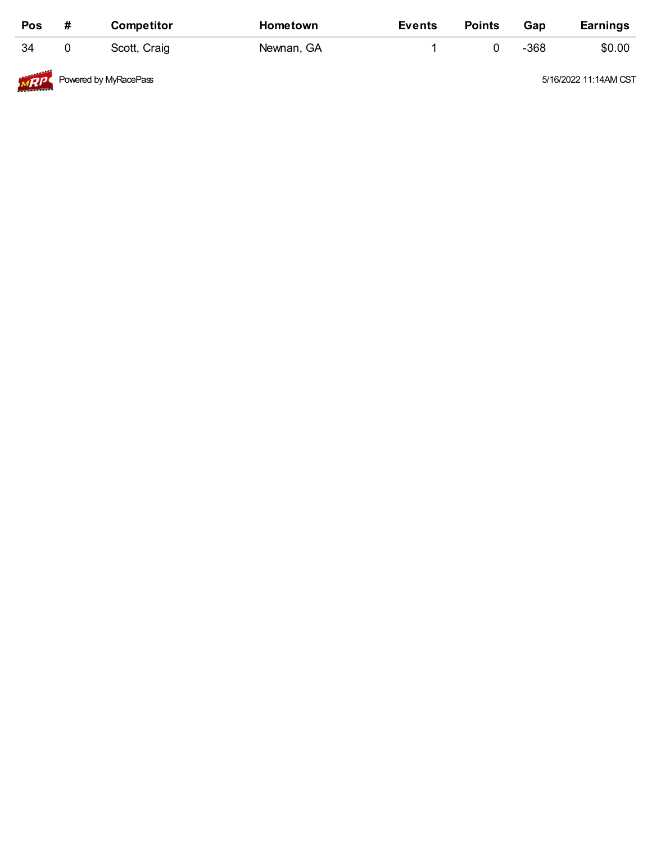| Pos                                                                                                                                                                                                                                         | # | <b>Competitor</b>     | Hometown   | <b>Events</b> | <b>Points</b> | Gap  | <b>Earnings</b>       |
|---------------------------------------------------------------------------------------------------------------------------------------------------------------------------------------------------------------------------------------------|---|-----------------------|------------|---------------|---------------|------|-----------------------|
| 34                                                                                                                                                                                                                                          |   | Scott, Craig          | Newnan, GA |               |               | -368 | \$0.00                |
| MRP<br><b>Contract Contract Contract Contract Contract Contract Contract Contract Contract Contract Contract Contract Contract Contract Contract Contract Contract Contract Contract Contract Contract Contract Contract Contract Contr</b> |   | Powered by MyRacePass |            |               |               |      | 5/16/2022 11:14AM CST |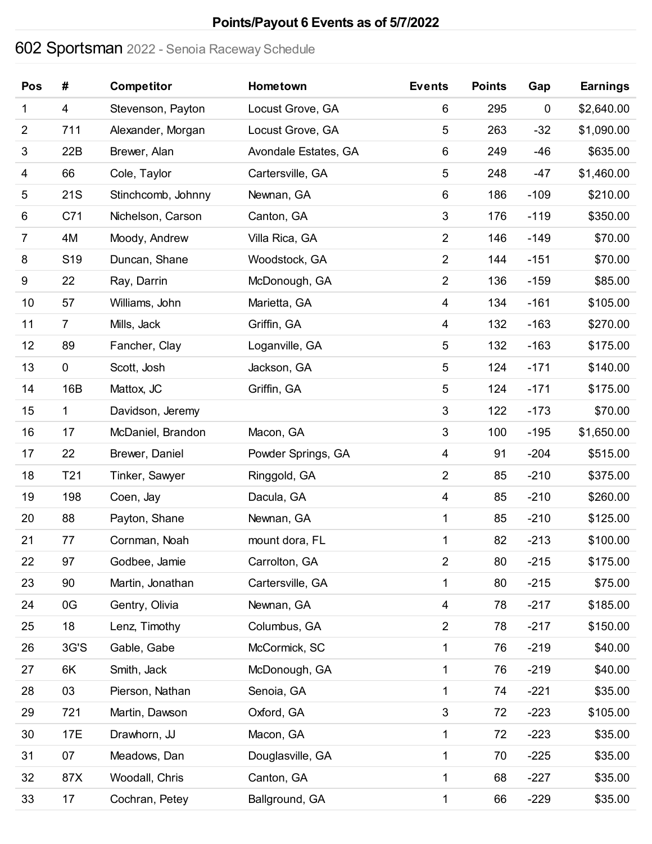# **Points/Payout 6 Events as of 5/7/2022**

# Sportsman 2022 - Senoia Raceway Schedule

| Pos            | #               | Competitor         | Hometown             | <b>Events</b>             | <b>Points</b> | Gap         | <b>Earnings</b> |
|----------------|-----------------|--------------------|----------------------|---------------------------|---------------|-------------|-----------------|
| 1              | 4               | Stevenson, Payton  | Locust Grove, GA     | 6                         | 295           | $\mathbf 0$ | \$2,640.00      |
| $\overline{c}$ | 711             | Alexander, Morgan  | Locust Grove, GA     | 5                         | 263           | $-32$       | \$1,090.00      |
| $\sqrt{3}$     | 22B             | Brewer, Alan       | Avondale Estates, GA | 6                         | 249           | $-46$       | \$635.00        |
| 4              | 66              | Cole, Taylor       | Cartersville, GA     | $\sqrt{5}$                | 248           | $-47$       | \$1,460.00      |
| 5              | 21S             | Stinchcomb, Johnny | Newnan, GA           | 6                         | 186           | $-109$      | \$210.00        |
| 6              | C71             | Nichelson, Carson  | Canton, GA           | $\ensuremath{\mathsf{3}}$ | 176           | $-119$      | \$350.00        |
| $\overline{7}$ | 4M              | Moody, Andrew      | Villa Rica, GA       | $\overline{c}$            | 146           | $-149$      | \$70.00         |
| 8              | S <sub>19</sub> | Duncan, Shane      | Woodstock, GA        | $\overline{c}$            | 144           | $-151$      | \$70.00         |
| 9              | 22              | Ray, Darrin        | McDonough, GA        | $\overline{2}$            | 136           | $-159$      | \$85.00         |
| 10             | 57              | Williams, John     | Marietta, GA         | 4                         | 134           | $-161$      | \$105.00        |
| 11             | $\overline{7}$  | Mills, Jack        | Griffin, GA          | 4                         | 132           | $-163$      | \$270.00        |
| 12             | 89              | Fancher, Clay      | Loganville, GA       | $\sqrt{5}$                | 132           | $-163$      | \$175.00        |
| 13             | $\mathbf 0$     | Scott, Josh        | Jackson, GA          | $\sqrt{5}$                | 124           | $-171$      | \$140.00        |
| 14             | 16B             | Mattox, JC         | Griffin, GA          | $\mathbf 5$               | 124           | $-171$      | \$175.00        |
| 15             | 1               | Davidson, Jeremy   |                      | $\sqrt{3}$                | 122           | $-173$      | \$70.00         |
| 16             | 17              | McDaniel, Brandon  | Macon, GA            | $\sqrt{3}$                | 100           | $-195$      | \$1,650.00      |
| 17             | 22              | Brewer, Daniel     | Powder Springs, GA   | 4                         | 91            | $-204$      | \$515.00        |
| 18             | T <sub>21</sub> | Tinker, Sawyer     | Ringgold, GA         | $\overline{c}$            | 85            | $-210$      | \$375.00        |
| 19             | 198             | Coen, Jay          | Dacula, GA           | 4                         | 85            | $-210$      | \$260.00        |
| 20             | 88              | Payton, Shane      | Newnan, GA           | 1                         | 85            | $-210$      | \$125.00        |
| 21             | 77              | Cornman, Noah      | mount dora, FL       | 1                         | 82            | $-213$      | \$100.00        |
| 22             | 97              | Godbee, Jamie      | Carrolton, GA        | $\overline{2}$            | 80            | $-215$      | \$175.00        |
| 23             | 90              | Martin, Jonathan   | Cartersville, GA     | 1                         | 80            | $-215$      | \$75.00         |
| 24             | 0G              | Gentry, Olivia     | Newnan, GA           | $\overline{\mathcal{A}}$  | 78            | $-217$      | \$185.00        |
| 25             | 18              | Lenz, Timothy      | Columbus, GA         | $\overline{2}$            | 78            | $-217$      | \$150.00        |
| 26             | 3G'S            | Gable, Gabe        | McCormick, SC        | 1                         | 76            | $-219$      | \$40.00         |
| 27             | 6K              | Smith, Jack        | McDonough, GA        | 1                         | 76            | $-219$      | \$40.00         |
| 28             | 03              | Pierson, Nathan    | Senoia, GA           | 1                         | 74            | $-221$      | \$35.00         |
| 29             | 721             | Martin, Dawson     | Oxford, GA           | $\ensuremath{\mathsf{3}}$ | 72            | $-223$      | \$105.00        |
| 30             | 17E             | Drawhorn, JJ       | Macon, GA            | 1                         | 72            | $-223$      | \$35.00         |
| 31             | 07              | Meadows, Dan       | Douglasville, GA     | 1                         | 70            | $-225$      | \$35.00         |
| 32             | 87X             | Woodall, Chris     | Canton, GA           | 1                         | 68            | $-227$      | \$35.00         |
| 33             | 17              | Cochran, Petey     | Ballground, GA       | 1                         | 66            | $-229$      | \$35.00         |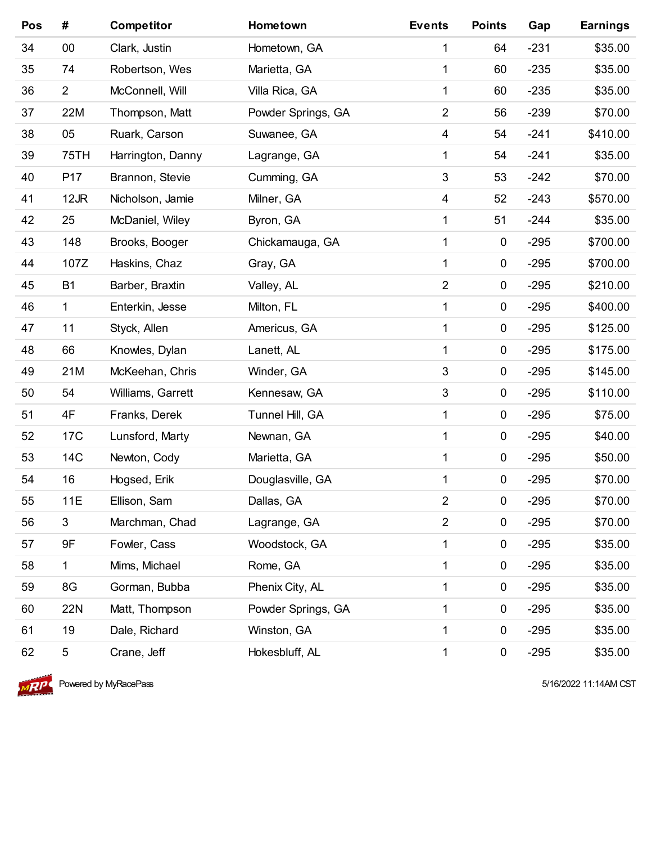| Pos | #               | <b>Competitor</b> | Hometown           | <b>Events</b>  | <b>Points</b> | Gap    | <b>Earnings</b> |
|-----|-----------------|-------------------|--------------------|----------------|---------------|--------|-----------------|
| 34  | 00              | Clark, Justin     | Hometown, GA       | 1              | 64            | $-231$ | \$35.00         |
| 35  | 74              | Robertson, Wes    | Marietta, GA       | 1              | 60            | $-235$ | \$35.00         |
| 36  | $\overline{2}$  | McConnell, Will   | Villa Rica, GA     | 1              | 60            | $-235$ | \$35.00         |
| 37  | 22M             | Thompson, Matt    | Powder Springs, GA | $\overline{2}$ | 56            | $-239$ | \$70.00         |
| 38  | 05              | Ruark, Carson     | Suwanee, GA        | $\overline{4}$ | 54            | $-241$ | \$410.00        |
| 39  | <b>75TH</b>     | Harrington, Danny | Lagrange, GA       | 1              | 54            | $-241$ | \$35.00         |
| 40  | P17             | Brannon, Stevie   | Cumming, GA        | $\mathfrak{B}$ | 53            | $-242$ | \$70.00         |
| 41  | $12$ JR         | Nicholson, Jamie  | Milner, GA         | $\overline{4}$ | 52            | $-243$ | \$570.00        |
| 42  | 25              | McDaniel, Wiley   | Byron, GA          | 1              | 51            | $-244$ | \$35.00         |
| 43  | 148             | Brooks, Booger    | Chickamauga, GA    | 1              | $\pmb{0}$     | $-295$ | \$700.00        |
| 44  | 107Z            | Haskins, Chaz     | Gray, GA           | 1              | $\pmb{0}$     | $-295$ | \$700.00        |
| 45  | <b>B1</b>       | Barber, Braxtin   | Valley, AL         | $\overline{2}$ | $\pmb{0}$     | $-295$ | \$210.00        |
| 46  | 1               | Enterkin, Jesse   | Milton, FL         | 1              | $\pmb{0}$     | $-295$ | \$400.00        |
| 47  | 11              | Styck, Allen      | Americus, GA       | 1              | $\pmb{0}$     | $-295$ | \$125.00        |
| 48  | 66              | Knowles, Dylan    | Lanett, AL         | 1              | $\pmb{0}$     | $-295$ | \$175.00        |
| 49  | 21M             | McKeehan, Chris   | Winder, GA         | $\sqrt{3}$     | $\pmb{0}$     | $-295$ | \$145.00        |
| 50  | 54              | Williams, Garrett | Kennesaw, GA       | $\sqrt{3}$     | $\pmb{0}$     | $-295$ | \$110.00        |
| 51  | 4F              | Franks, Derek     | Tunnel Hill, GA    | 1              | $\pmb{0}$     | $-295$ | \$75.00         |
| 52  | 17 <sub>C</sub> | Lunsford, Marty   | Newnan, GA         | 1              | $\pmb{0}$     | $-295$ | \$40.00         |
| 53  | 14C             | Newton, Cody      | Marietta, GA       | 1              | $\pmb{0}$     | $-295$ | \$50.00         |
| 54  | 16              | Hogsed, Erik      | Douglasville, GA   | 1              | $\pmb{0}$     | $-295$ | \$70.00         |
| 55  | 11E             | Ellison, Sam      | Dallas, GA         | $\overline{2}$ | $\pmb{0}$     | $-295$ | \$70.00         |
| 56  | $\mathbf{3}$    | Marchman, Chad    | Lagrange, GA       | $\overline{2}$ | $\pmb{0}$     | $-295$ | \$70.00         |
| 57  | 9F              | Fowler, Cass      | Woodstock, GA      | 1              | 0             | $-295$ | \$35.00         |
| 58  | 1               | Mims, Michael     | Rome, GA           | 1              | 0             | $-295$ | \$35.00         |
| 59  | 8G              | Gorman, Bubba     | Phenix City, AL    | 1              | $\pmb{0}$     | $-295$ | \$35.00         |
| 60  | 22N             | Matt, Thompson    | Powder Springs, GA | 1              | 0             | $-295$ | \$35.00         |
| 61  | 19              | Dale, Richard     | Winston, GA        | 1              | $\pmb{0}$     | $-295$ | \$35.00         |
| 62  | 5               | Crane, Jeff       | Hokesbluff, AL     | 1              | $\pmb{0}$     | $-295$ | \$35.00         |



**Powered by MyRacePass 618 and 2009 120 and 2009 12:00 12:00 12:00 12:00 12:00 12:00 12:00 12:00 12:00 12:00 12:00 12:00 12:00 12:00 12:00 12:00 12:00 12:00 12:00 12:00 12:00 12:00 12:00 12:00 12:00 12:00 12:00 12:00 12:00**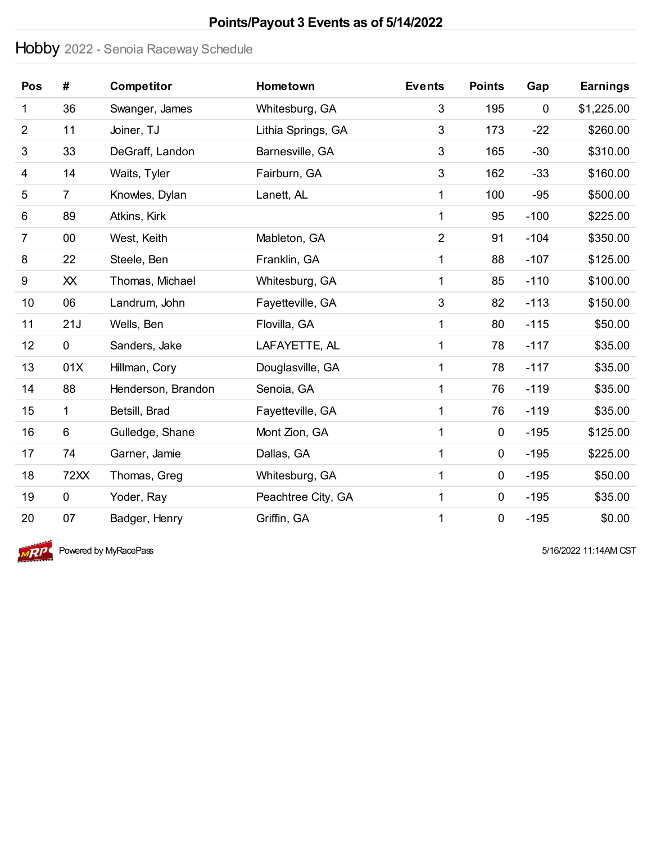### **Points/Payout 3 Events as of 5/14/2022**

# Hobby 2022 - Senoia Raceway Schedule

| Pos            | #              | <b>Competitor</b>  | Hometown           | <b>Events</b>  | <b>Points</b> | Gap       | <b>Earnings</b> |
|----------------|----------------|--------------------|--------------------|----------------|---------------|-----------|-----------------|
| 1              | 36             | Swanger, James     | Whitesburg, GA     | 3              | 195           | $\pmb{0}$ | \$1,225.00      |
| $\overline{2}$ | 11             | Joiner, TJ         | Lithia Springs, GA | $\mathfrak{B}$ | 173           | $-22$     | \$260.00        |
| 3              | 33             | DeGraff, Landon    | Barnesville, GA    | $\mathfrak{B}$ | 165           | $-30$     | \$310.00        |
| 4              | 14             | Waits, Tyler       | Fairburn, GA       | 3              | 162           | $-33$     | \$160.00        |
| 5              | $\overline{7}$ | Knowles, Dylan     | Lanett, AL         | 1              | 100           | $-95$     | \$500.00        |
| 6              | 89             | Atkins, Kirk       |                    | 1              | 95            | $-100$    | \$225.00        |
| 7              | 00             | West, Keith        | Mableton, GA       | $\overline{2}$ | 91            | $-104$    | \$350.00        |
| 8              | 22             | Steele, Ben        | Franklin, GA       | 1              | 88            | $-107$    | \$125.00        |
| 9              | XX             | Thomas, Michael    | Whitesburg, GA     | 1              | 85            | $-110$    | \$100.00        |
| 10             | 06             | Landrum, John      | Fayetteville, GA   | $\mathfrak{B}$ | 82            | $-113$    | \$150.00        |
| 11             | 21J            | Wells, Ben         | Flovilla, GA       | 1              | 80            | $-115$    | \$50.00         |
| 12             | $\mathbf 0$    | Sanders, Jake      | LAFAYETTE, AL      | 1              | 78            | $-117$    | \$35.00         |
| 13             | 01X            | Hillman, Cory      | Douglasville, GA   | 1              | 78            | $-117$    | \$35.00         |
| 14             | 88             | Henderson, Brandon | Senoia, GA         | 1              | 76            | $-119$    | \$35.00         |
| 15             | 1              | Betsill, Brad      | Fayetteville, GA   | 1              | 76            | $-119$    | \$35.00         |
| 16             | 6              | Gulledge, Shane    | Mont Zion, GA      | 1              | $\pmb{0}$     | $-195$    | \$125.00        |
| 17             | 74             | Garner, Jamie      | Dallas, GA         | 1              | $\pmb{0}$     | $-195$    | \$225.00        |
| 18             | 72XX           | Thomas, Greg       | Whitesburg, GA     | 1              | $\pmb{0}$     | $-195$    | \$50.00         |
| 19             | $\mathbf 0$    | Yoder, Ray         | Peachtree City, GA | 1              | $\pmb{0}$     | $-195$    | \$35.00         |
| 20             | 07             | Badger, Henry      | Griffin, GA        | 1              | $\pmb{0}$     | $-195$    | \$0.00          |



 $\overline{MP}$  Powered by MyRacePass  $\overline{SP}$  5/16/2022 11:14AM CST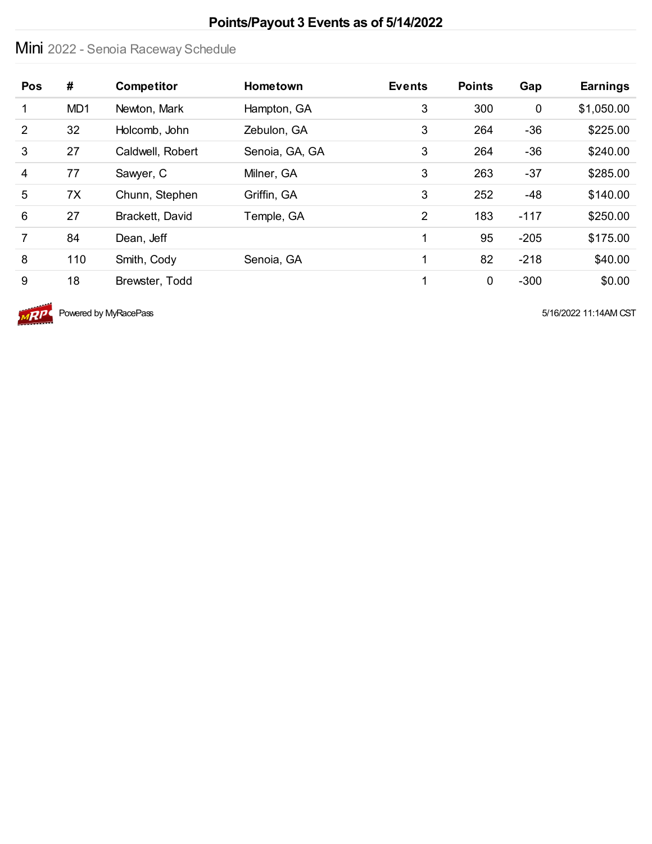### **Points/Payout 3 Events as of 5/14/2022**

# Mini 2022 - Senoia Raceway Schedule

| Pos            | #               | <b>Competitor</b> | <b>Hometown</b> | <b>Events</b> | <b>Points</b> | Gap         | <b>Earnings</b> |
|----------------|-----------------|-------------------|-----------------|---------------|---------------|-------------|-----------------|
| 1              | MD <sub>1</sub> | Newton, Mark      | Hampton, GA     | 3             | 300           | $\mathbf 0$ | \$1,050.00      |
| $\overline{2}$ | 32              | Holcomb, John     | Zebulon, GA     | 3             | 264           | $-36$       | \$225.00        |
| 3              | 27              | Caldwell, Robert  | Senoia, GA, GA  | 3             | 264           | $-36$       | \$240.00        |
| $\overline{4}$ | 77              | Sawyer, C         | Milner, GA      | 3             | 263           | $-37$       | \$285.00        |
| 5              | 7X              | Chunn, Stephen    | Griffin, GA     | 3             | 252           | $-48$       | \$140.00        |
| $6\phantom{1}$ | 27              | Brackett, David   | Temple, GA      | 2             | 183           | $-117$      | \$250.00        |
| $\overline{7}$ | 84              | Dean, Jeff        |                 | 1             | 95            | $-205$      | \$175.00        |
| 8              | 110             | Smith, Cody       | Senoia, GA      | 1             | 82            | $-218$      | \$40.00         |
| 9              | 18              | Brewster, Todd    |                 | 1             | $\mathbf 0$   | $-300$      | \$0.00          |



 $\overline{MPP}$  Powered by MyRacePass  $\overline{MPP}$  5/16/2022 11:14AM CST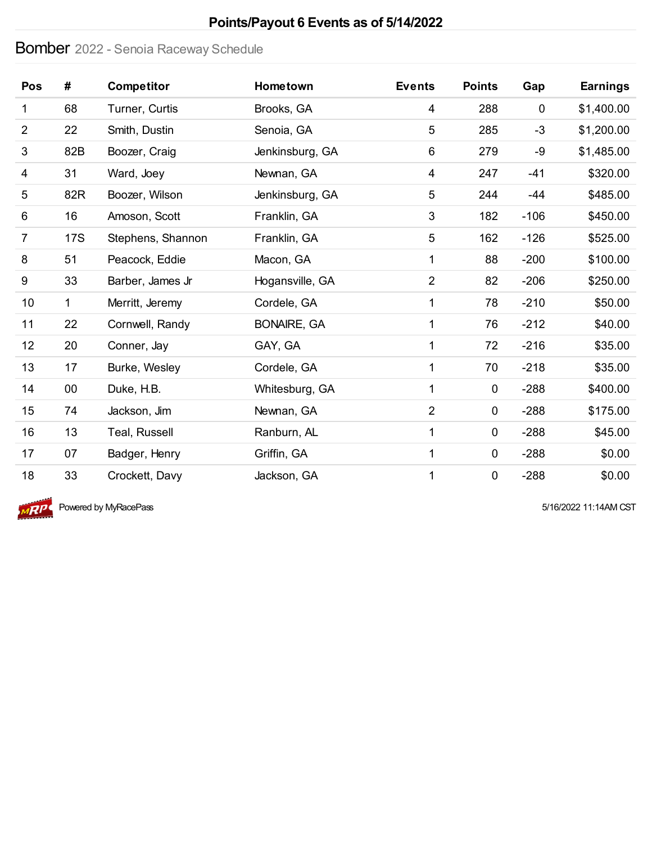### **Points/Payout 6 Events as of 5/14/2022**

### Bomber 2022 - Senoia Raceway Schedule

| <b>Pos</b>     | #          | <b>Competitor</b> | Hometown           | <b>Events</b>  | <b>Points</b> | Gap         | <b>Earnings</b> |
|----------------|------------|-------------------|--------------------|----------------|---------------|-------------|-----------------|
| 1              | 68         | Turner, Curtis    | Brooks, GA         | 4              | 288           | $\mathbf 0$ | \$1,400.00      |
| $\overline{2}$ | 22         | Smith, Dustin     | Senoia, GA         | 5              | 285           | $-3$        | \$1,200.00      |
| 3              | 82B        | Boozer, Craig     | Jenkinsburg, GA    | 6              | 279           | -9          | \$1,485.00      |
| 4              | 31         | Ward, Joey        | Newnan, GA         | 4              | 247           | $-41$       | \$320.00        |
| 5              | 82R        | Boozer, Wilson    | Jenkinsburg, GA    | 5              | 244           | $-44$       | \$485.00        |
| 6              | 16         | Amoson, Scott     | Franklin, GA       | 3              | 182           | $-106$      | \$450.00        |
| 7              | <b>17S</b> | Stephens, Shannon | Franklin, GA       | 5              | 162           | $-126$      | \$525.00        |
| 8              | 51         | Peacock, Eddie    | Macon, GA          | 1              | 88            | $-200$      | \$100.00        |
| 9              | 33         | Barber, James Jr  | Hogansville, GA    | $\overline{2}$ | 82            | $-206$      | \$250.00        |
| 10             | 1          | Merritt, Jeremy   | Cordele, GA        | 1              | 78            | $-210$      | \$50.00         |
| 11             | 22         | Cornwell, Randy   | <b>BONAIRE, GA</b> | 1              | 76            | $-212$      | \$40.00         |
| 12             | 20         | Conner, Jay       | GAY, GA            | 1              | 72            | $-216$      | \$35.00         |
| 13             | 17         | Burke, Wesley     | Cordele, GA        | 1              | 70            | $-218$      | \$35.00         |
| 14             | $00\,$     | Duke, H.B.        | Whitesburg, GA     | 1              | $\mathbf 0$   | $-288$      | \$400.00        |
| 15             | 74         | Jackson, Jim      | Newnan, GA         | 2              | $\mathbf 0$   | $-288$      | \$175.00        |
| 16             | 13         | Teal, Russell     | Ranburn, AL        | 1              | $\mathbf 0$   | $-288$      | \$45.00         |
| 17             | 07         | Badger, Henry     | Griffin, GA        | 1              | 0             | $-288$      | \$0.00          |
| 18             | 33         | Crockett, Davy    | Jackson, GA        | 1              | $\pmb{0}$     | $-288$      | \$0.00          |



 $\overline{MP}$  Powered by MyRacePass  $\overline{SP}$  5/16/2022 11:14AM CST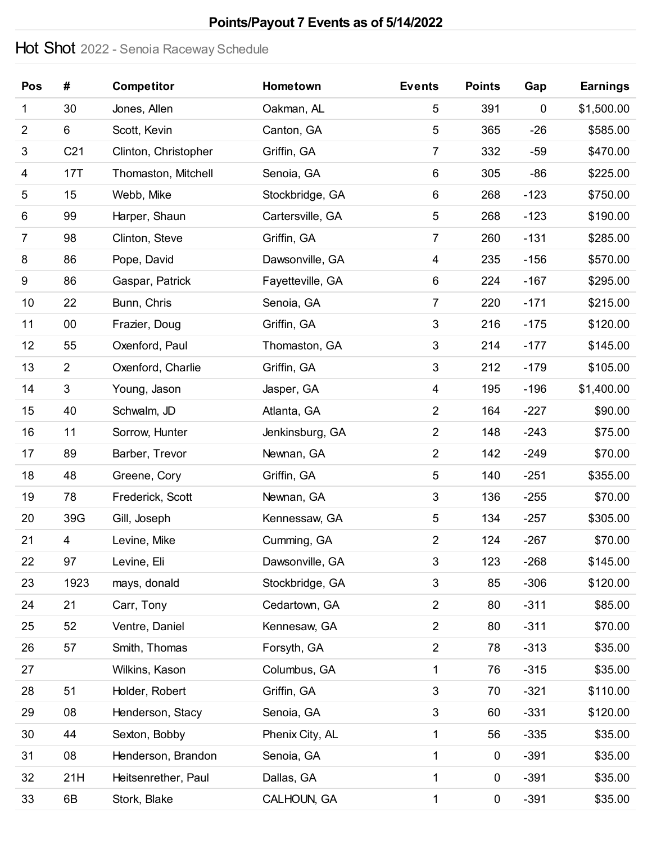# **Points/Payout 7 Events as of 5/14/2022**

# Hot Shot 2022 - Senoia Raceway Schedule

| Pos            | #               | <b>Competitor</b>    | Hometown         | <b>Events</b>             | <b>Points</b> | Gap    | <b>Earnings</b> |
|----------------|-----------------|----------------------|------------------|---------------------------|---------------|--------|-----------------|
| 1              | 30              | Jones, Allen         | Oakman, AL       | 5                         | 391           | 0      | \$1,500.00      |
| $\overline{2}$ | 6               | Scott, Kevin         | Canton, GA       | $\overline{5}$            | 365           | $-26$  | \$585.00        |
| 3              | C <sub>21</sub> | Clinton, Christopher | Griffin, GA      | $\overline{7}$            | 332           | $-59$  | \$470.00        |
| 4              | 17T             | Thomaston, Mitchell  | Senoia, GA       | $\,6$                     | 305           | $-86$  | \$225.00        |
| 5              | 15              | Webb, Mike           | Stockbridge, GA  | 6                         | 268           | $-123$ | \$750.00        |
| 6              | 99              | Harper, Shaun        | Cartersville, GA | $\mathbf 5$               | 268           | $-123$ | \$190.00        |
| $\overline{7}$ | 98              | Clinton, Steve       | Griffin, GA      | $\overline{7}$            | 260           | $-131$ | \$285.00        |
| 8              | 86              | Pope, David          | Dawsonville, GA  | 4                         | 235           | $-156$ | \$570.00        |
| 9              | 86              | Gaspar, Patrick      | Fayetteville, GA | 6                         | 224           | $-167$ | \$295.00        |
| 10             | 22              | Bunn, Chris          | Senoia, GA       | $\overline{7}$            | 220           | $-171$ | \$215.00        |
| 11             | 00              | Frazier, Doug        | Griffin, GA      | $\sqrt{3}$                | 216           | $-175$ | \$120.00        |
| 12             | 55              | Oxenford, Paul       | Thomaston, GA    | $\sqrt{3}$                | 214           | $-177$ | \$145.00        |
| 13             | $\overline{2}$  | Oxenford, Charlie    | Griffin, GA      | $\sqrt{3}$                | 212           | $-179$ | \$105.00        |
| 14             | 3               | Young, Jason         | Jasper, GA       | 4                         | 195           | $-196$ | \$1,400.00      |
| 15             | 40              | Schwalm, JD          | Atlanta, GA      | $\overline{2}$            | 164           | $-227$ | \$90.00         |
| 16             | 11              | Sorrow, Hunter       | Jenkinsburg, GA  | $\overline{2}$            | 148           | $-243$ | \$75.00         |
| 17             | 89              | Barber, Trevor       | Newnan, GA       | $\overline{2}$            | 142           | $-249$ | \$70.00         |
| 18             | 48              | Greene, Cory         | Griffin, GA      | $\mathbf 5$               | 140           | $-251$ | \$355.00        |
| 19             | 78              | Frederick, Scott     | Newnan, GA       | $\sqrt{3}$                | 136           | $-255$ | \$70.00         |
| 20             | 39G             | Gill, Joseph         | Kennessaw, GA    | $\sqrt{5}$                | 134           | $-257$ | \$305.00        |
| 21             | 4               | Levine, Mike         | Cumming, GA      | $\overline{2}$            | 124           | $-267$ | \$70.00         |
| 22             | 97              | Levine, Eli          | Dawsonville, GA  | $\sqrt{3}$                | 123           | $-268$ | \$145.00        |
| 23             | 1923            | mays, donald         | Stockbridge, GA  | $\sqrt{3}$                | 85            | $-306$ | \$120.00        |
| 24             | 21              | Carr, Tony           | Cedartown, GA    | $\overline{c}$            | 80            | $-311$ | \$85.00         |
| 25             | 52              | Ventre, Daniel       | Kennesaw, GA     | $\overline{c}$            | 80            | $-311$ | \$70.00         |
| 26             | 57              | Smith, Thomas        | Forsyth, GA      | $\mathbf 2$               | 78            | $-313$ | \$35.00         |
| 27             |                 | Wilkins, Kason       | Columbus, GA     | $\mathbf{1}$              | 76            | $-315$ | \$35.00         |
| 28             | 51              | Holder, Robert       | Griffin, GA      | $\sqrt{3}$                | 70            | $-321$ | \$110.00        |
| 29             | 08              | Henderson, Stacy     | Senoia, GA       | $\ensuremath{\mathsf{3}}$ | 60            | $-331$ | \$120.00        |
| 30             | 44              | Sexton, Bobby        | Phenix City, AL  | $\mathbf 1$               | 56            | $-335$ | \$35.00         |
| 31             | 08              | Henderson, Brandon   | Senoia, GA       | 1                         | $\pmb{0}$     | $-391$ | \$35.00         |
| 32             | 21H             | Heitsenrether, Paul  | Dallas, GA       | 1                         | 0             | $-391$ | \$35.00         |
| 33             | 6B              | Stork, Blake         | CALHOUN, GA      | 1                         | $\pmb{0}$     | $-391$ | \$35.00         |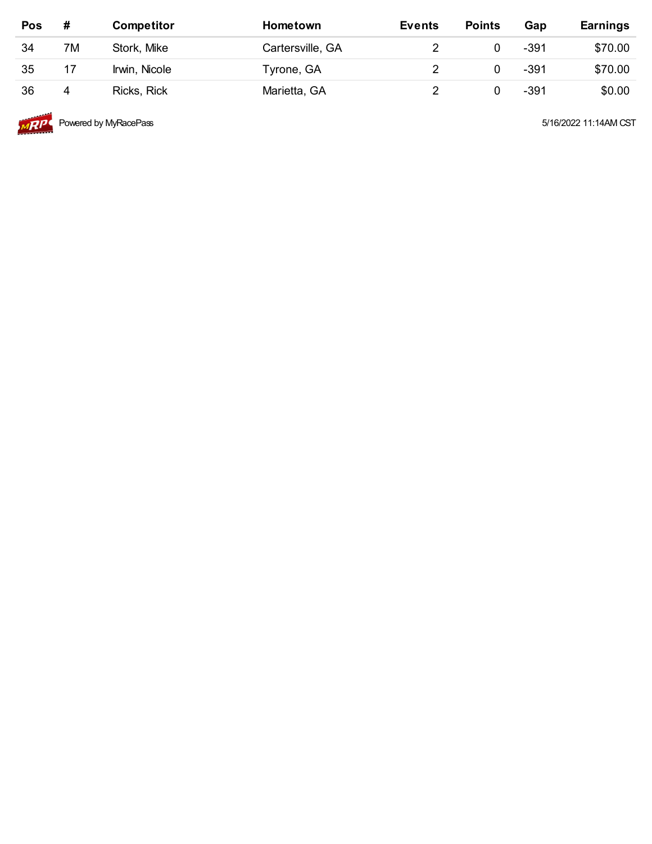| Pos | #  | <b>Competitor</b> | <b>Hometown</b>  | <b>Events</b> | <b>Points</b> | Gap    | <b>Earnings</b> |
|-----|----|-------------------|------------------|---------------|---------------|--------|-----------------|
| 34  | 7M | Stork, Mike       | Cartersville, GA |               |               | $-391$ | \$70.00         |
| 35  | 17 | Irwin, Nicole     | Tyrone, GA       |               |               | $-391$ | \$70.00         |
| 36  | 4  | Ricks, Rick       | Marietta, GA     |               |               | $-391$ | \$0.00          |



**Powered by MyRacePass 6/16/2022 11:14AM CST** 5/16/2022 11:14AM CST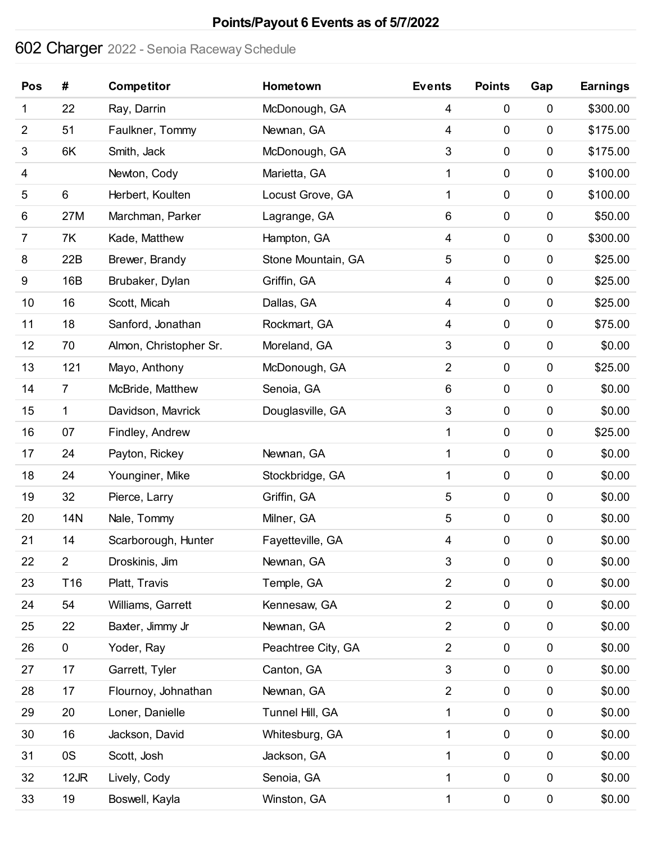# **Points/Payout 6 Events as of 5/7/2022**

# Charger 2022 - Senoia Raceway Schedule

| Pos              | #               | <b>Competitor</b>      | Hometown           | <b>Events</b>  | <b>Points</b>    | Gap         | <b>Earnings</b> |
|------------------|-----------------|------------------------|--------------------|----------------|------------------|-------------|-----------------|
| 1                | 22              | Ray, Darrin            | McDonough, GA      | 4              | $\pmb{0}$        | 0           | \$300.00        |
| $\overline{2}$   | 51              | Faulkner, Tommy        | Newnan, GA         | 4              | $\mathbf 0$      | $\mathbf 0$ | \$175.00        |
| 3                | 6K              | Smith, Jack            | McDonough, GA      | 3              | $\pmb{0}$        | 0           | \$175.00        |
| 4                |                 | Newton, Cody           | Marietta, GA       | 1              | $\pmb{0}$        | 0           | \$100.00        |
| 5                | 6               | Herbert, Koulten       | Locust Grove, GA   | 1              | $\pmb{0}$        | $\mathbf 0$ | \$100.00        |
| 6                | 27M             | Marchman, Parker       | Lagrange, GA       | 6              | $\pmb{0}$        | 0           | \$50.00         |
| 7                | 7K              | Kade, Matthew          | Hampton, GA        | 4              | $\pmb{0}$        | $\pmb{0}$   | \$300.00        |
| 8                | 22B             | Brewer, Brandy         | Stone Mountain, GA | 5              | $\pmb{0}$        | $\pmb{0}$   | \$25.00         |
| $\boldsymbol{9}$ | 16B             | Brubaker, Dylan        | Griffin, GA        | 4              | $\pmb{0}$        | 0           | \$25.00         |
| 10               | 16              | Scott, Micah           | Dallas, GA         | 4              | $\pmb{0}$        | $\pmb{0}$   | \$25.00         |
| 11               | 18              | Sanford, Jonathan      | Rockmart, GA       | 4              | $\pmb{0}$        | $\pmb{0}$   | \$75.00         |
| 12               | 70              | Almon, Christopher Sr. | Moreland, GA       | 3              | $\pmb{0}$        | $\pmb{0}$   | \$0.00          |
| 13               | 121             | Mayo, Anthony          | McDonough, GA      | $\overline{2}$ | $\pmb{0}$        | $\pmb{0}$   | \$25.00         |
| 14               | $\overline{7}$  | McBride, Matthew       | Senoia, GA         | 6              | $\pmb{0}$        | $\pmb{0}$   | \$0.00          |
| 15               | 1               | Davidson, Mavrick      | Douglasville, GA   | 3              | $\pmb{0}$        | $\pmb{0}$   | \$0.00          |
| 16               | 07              | Findley, Andrew        |                    | 1              | $\pmb{0}$        | $\pmb{0}$   | \$25.00         |
| 17               | 24              | Payton, Rickey         | Newnan, GA         | 1              | $\pmb{0}$        | 0           | \$0.00          |
| 18               | 24              | Younginer, Mike        | Stockbridge, GA    | 1              | $\pmb{0}$        | $\mathbf 0$ | \$0.00          |
| 19               | 32              | Pierce, Larry          | Griffin, GA        | 5              | $\pmb{0}$        | $\pmb{0}$   | \$0.00          |
| 20               | <b>14N</b>      | Nale, Tommy            | Milner, GA         | 5              | $\pmb{0}$        | $\pmb{0}$   | \$0.00          |
| 21               | 14              | Scarborough, Hunter    | Fayetteville, GA   | 4              | $\boldsymbol{0}$ | $\pmb{0}$   | \$0.00          |
| 22               | $\overline{c}$  | Droskinis, Jim         | Newnan, GA         | 3              | $\pmb{0}$        | $\pmb{0}$   | \$0.00          |
| 23               | T <sub>16</sub> | Platt, Travis          | Temple, GA         | $\overline{2}$ | $\pmb{0}$        | $\pmb{0}$   | \$0.00          |
| 24               | 54              | Williams, Garrett      | Kennesaw, GA       | $\overline{2}$ | $\pmb{0}$        | $\pmb{0}$   | \$0.00          |
| 25               | 22              | Baxter, Jimmy Jr       | Newnan, GA         | $\overline{2}$ | $\pmb{0}$        | $\pmb{0}$   | \$0.00          |
| 26               | 0               | Yoder, Ray             | Peachtree City, GA | $\overline{2}$ | $\pmb{0}$        | $\pmb{0}$   | \$0.00          |
| 27               | 17              | Garrett, Tyler         | Canton, GA         | 3              | $\pmb{0}$        | $\pmb{0}$   | \$0.00          |
| 28               | 17              | Flournoy, Johnathan    | Newnan, GA         | $\overline{2}$ | $\pmb{0}$        | $\pmb{0}$   | \$0.00          |
| 29               | 20              | Loner, Danielle        | Tunnel Hill, GA    | 1              | $\pmb{0}$        | $\pmb{0}$   | \$0.00          |
| 30               | 16              | Jackson, David         | Whitesburg, GA     | 1              | $\pmb{0}$        | $\pmb{0}$   | \$0.00          |
| 31               | 0S              | Scott, Josh            | Jackson, GA        | 1              | $\pmb{0}$        | $\pmb{0}$   | \$0.00          |
| 32               | 12JR            | Lively, Cody           | Senoia, GA         | 1              | $\pmb{0}$        | $\pmb{0}$   | \$0.00          |
| 33               | 19              | Boswell, Kayla         | Winston, GA        | 1              | $\pmb{0}$        | $\pmb{0}$   | \$0.00          |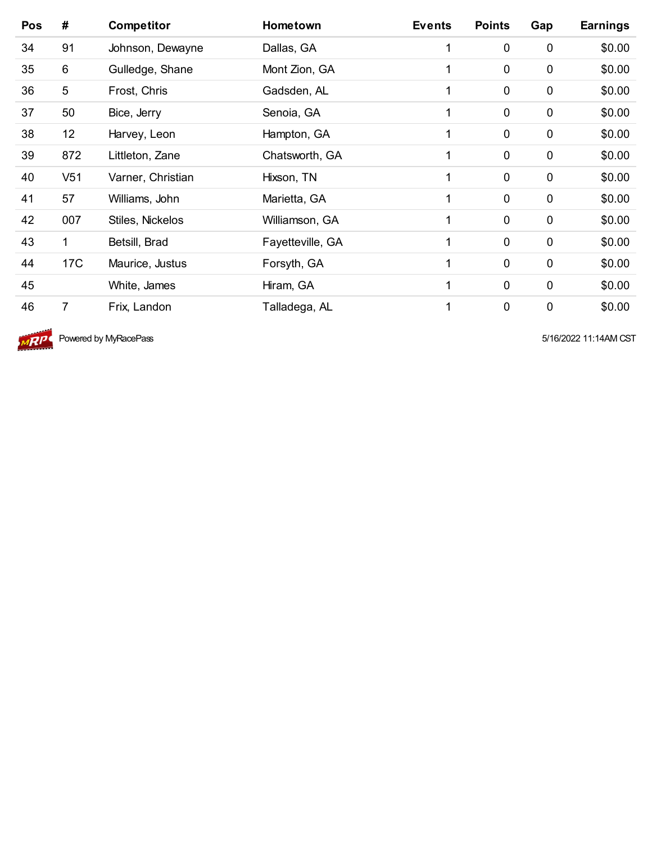| Pos | #               | <b>Competitor</b> | Hometown         | <b>Events</b> | <b>Points</b> | Gap         | <b>Earnings</b> |
|-----|-----------------|-------------------|------------------|---------------|---------------|-------------|-----------------|
| 34  | 91              | Johnson, Dewayne  | Dallas, GA       | 1             | $\mathbf 0$   | $\pmb{0}$   | \$0.00          |
| 35  | 6               | Gulledge, Shane   | Mont Zion, GA    |               | 0             | $\mathbf 0$ | \$0.00          |
| 36  | 5               | Frost, Chris      | Gadsden, AL      | 1             | $\mathbf 0$   | $\mathbf 0$ | \$0.00          |
| 37  | 50              | Bice, Jerry       | Senoia, GA       | 1             | $\mathbf 0$   | $\mathbf 0$ | \$0.00          |
| 38  | 12              | Harvey, Leon      | Hampton, GA      | 1             | 0             | $\mathbf 0$ | \$0.00          |
| 39  | 872             | Littleton, Zane   | Chatsworth, GA   | 1             | $\mathbf 0$   | $\mathbf 0$ | \$0.00          |
| 40  | V <sub>51</sub> | Varner, Christian | Hixson, TN       | 1             | $\mathbf 0$   | $\mathbf 0$ | \$0.00          |
| 41  | 57              | Williams, John    | Marietta, GA     | 1             | 0             | $\pmb{0}$   | \$0.00          |
| 42  | 007             | Stiles, Nickelos  | Williamson, GA   | 1             | $\mathbf 0$   | $\mathbf 0$ | \$0.00          |
| 43  | $\mathbf{1}$    | Betsill, Brad     | Fayetteville, GA | 1             | $\mathbf 0$   | $\mathbf 0$ | \$0.00          |
| 44  | 17 <sub>C</sub> | Maurice, Justus   | Forsyth, GA      | 1             | $\mathbf 0$   | $\pmb{0}$   | \$0.00          |
| 45  |                 | White, James      | Hiram, GA        | 1             | $\mathbf 0$   | $\mathbf 0$ | \$0.00          |
| 46  | 7               | Frix, Landon      | Talladega, AL    | 1             | 0             | 0           | \$0.00          |



**MRIPL** Powered by MyRacePass **Figure 11:14AM CST** 5/16/2022 11:14AM CST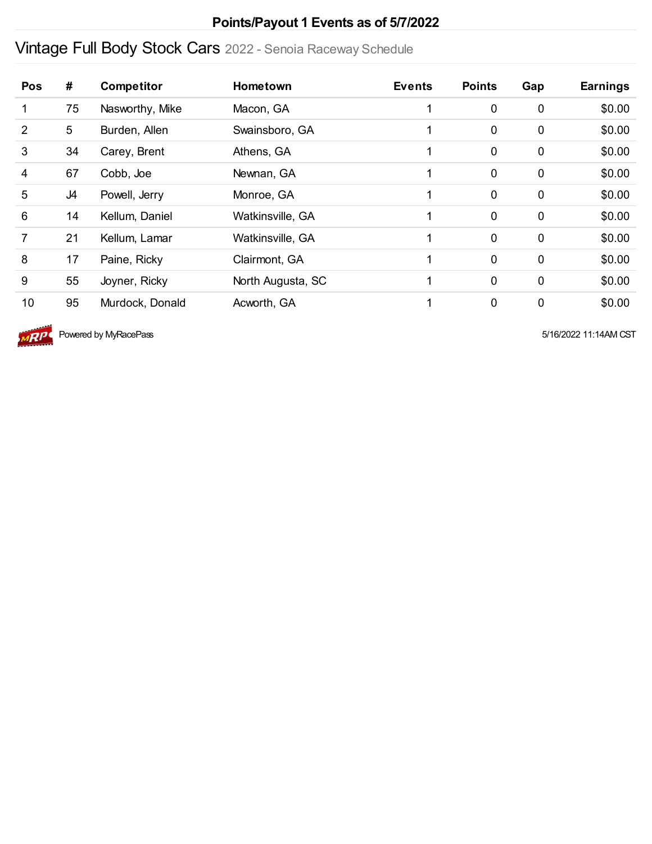#### **Points/Payout 1 Events as of 5/7/2022**

# Vintage Full Body Stock Cars 2022 - Senoia Raceway Schedule

| Pos            | #  | <b>Competitor</b> | <b>Hometown</b>   | <b>Events</b> | <b>Points</b> | Gap         | <b>Earnings</b> |
|----------------|----|-------------------|-------------------|---------------|---------------|-------------|-----------------|
| 1              | 75 | Nasworthy, Mike   | Macon, GA         |               | $\mathbf 0$   | $\mathbf 0$ | \$0.00          |
| 2              | 5  | Burden, Allen     | Swainsboro, GA    |               | $\mathbf 0$   | $\mathbf 0$ | \$0.00          |
| 3              | 34 | Carey, Brent      | Athens, GA        |               | $\mathbf 0$   | $\mathbf 0$ | \$0.00          |
| 4              | 67 | Cobb, Joe         | Newnan, GA        |               | $\mathbf 0$   | 0           | \$0.00          |
| 5              | J4 | Powell, Jerry     | Monroe, GA        |               | $\mathbf 0$   | $\mathbf 0$ | \$0.00          |
| 6              | 14 | Kellum, Daniel    | Watkinsville, GA  |               | 0             | $\mathbf 0$ | \$0.00          |
| $\overline{7}$ | 21 | Kellum, Lamar     | Watkinsville, GA  |               | $\mathbf 0$   | $\mathbf 0$ | \$0.00          |
| 8              | 17 | Paine, Ricky      | Clairmont, GA     |               | $\mathbf 0$   | $\mathbf 0$ | \$0.00          |
| 9              | 55 | Joyner, Ricky     | North Augusta, SC |               | $\mathbf 0$   | $\mathbf 0$ | \$0.00          |
| 10             | 95 | Murdock, Donald   | Acworth, GA       |               | $\mathbf 0$   | $\mathbf 0$ | \$0.00          |



 $\sqrt{AP}$  Powered by MyRacePass  $\overline{SP}$  5/16/2022 11:14AM CST